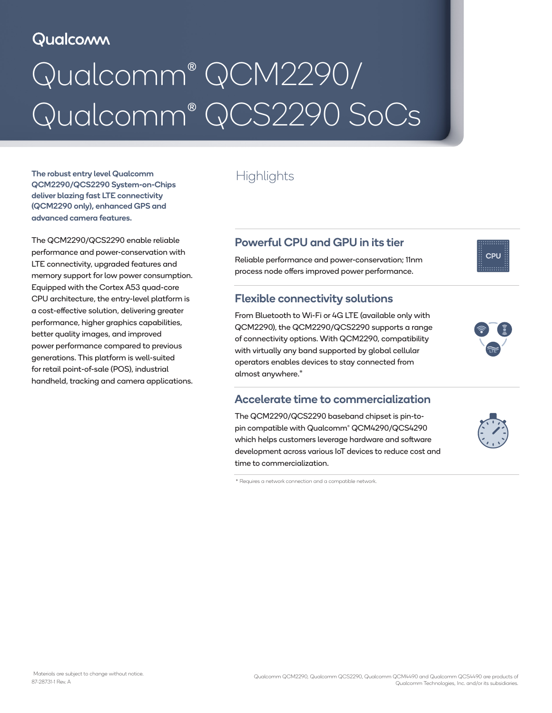# Qualcomm

# Qualcomm® QCM2290/ Qualcomm® QCS2290 SoCs

The robust entry level Qualcomm<br>  $\qquad$  Highlights QCM2290/QCS2290 System-on-Chips deliver blazing fast LTE connectivity (QCM2290 only), enhanced GPS and advanced camera features.

The QCM2290/QCS2290 enable reliable performance and power-conservation with LTE connectivity, upgraded features and memory support for low power consumption. Equipped with the Cortex A53 quad-core CPU architecture, the entry-level platform is a cost-effective solution, delivering greater performance, higher graphics capabilities, better quality images, and improved power performance compared to previous generations. This platform is well-suited for retail point-of-sale (POS), industrial handheld, tracking and camera applications.

# Powerful CPU and GPU in its tier

Reliable performance and power-conservation; 11nm process node offers improved power performance.

### Flexible connectivity solutions

From Bluetooth to Wi-Fi or 4G LTE (available only with QCM2290), the QCM2290/QCS2290 supports a range of connectivity options. With QCM2290, compatibility with virtually any band supported by global cellular operators enables devices to stay connected from almost anywhere.\*

#### Accelerate time to commercialization

The QCM2290/QCS2290 baseband chipset is pin-topin compatible with Qualcomm® QCM4290/QCS4290 which helps customers leverage hardware and software development across various IoT devices to reduce cost and time to commercialization.

\* Requires a network connection and a compatible network.



CPU